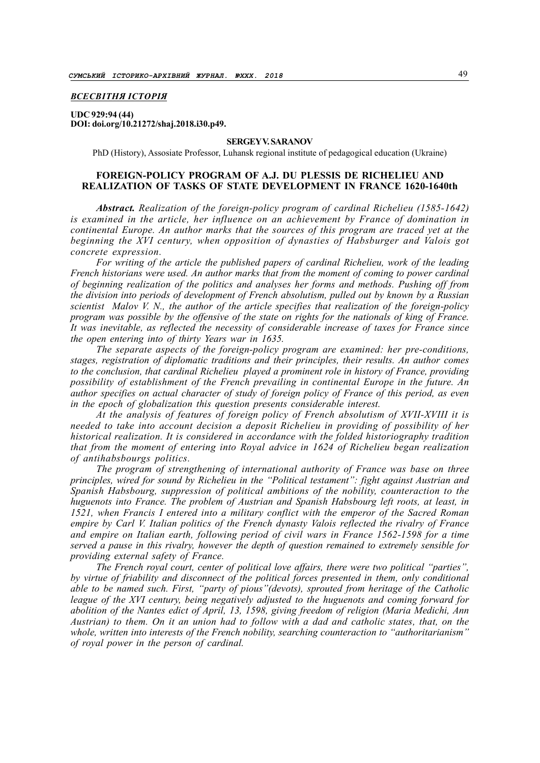# ВСЕСВІТНЯ ІСТОРІЯ

### UDC 929:94 (44) DOI: doi.org/10.21272/shaj.2018.i30.p49.

### SERGEY V. SARANOV

PhD (History), Assosiate Professor, Luhansk regional institute of pedagogical education (Ukraine)

# FOREIGN-POLICY PROGRAM OF A.J. DU PLESSIS DE RICHELIEU AND REALIZATION OF TASKS OF STATE DEVELOPMENT IN FRANCE 1620-1640th

Abstract. Realization of the foreign-policy program of cardinal Richelieu (1585-1642) is examined in the article, her influence on an achievement by France of domination in continental Europe. An author marks that the sources of this program are traced yet at the beginning the XVI century, when opposition of dynasties of Habsburger and Valois got concrete expression.

For writing of the article the published papers of cardinal Richelieu, work of the leading French historians were used. An author marks that from the moment of coming to power cardinal of beginning realization of the politics and analyses her forms and methods. Pushing off from the division into periods of development of French absolutism, pulled out by known by a Russian scientist Malov V. N., the author of the article specifies that realization of the foreign-policy program was possible by the offensive of the state on rights for the nationals of king of France. It was inevitable, as reflected the necessity of considerable increase of taxes for France since the open entering into of thirty Years war in 1635.

The separate aspects of the foreign-policy program are examined: her pre-conditions, stages, registration of diplomatic traditions and their principles, their results. An author comes to the conclusion, that cardinal Richelieu played a prominent role in history of France, providing possibility of establishment of the French prevailing in continental Europe in the future. An author specifies on actual character of study of foreign policy of France of this period, as even in the epoch of globalization this question presents considerable interest.

At the analysis of features of foreign policy of French absolutism of XVII-XVIII it is needed to take into account decision a deposit Richelieu in providing of possibility of her historical realization. It is considered in accordance with the folded historiography tradition that from the moment of entering into Royal advice in 1624 of Richelieu began realization of antihabsbourgs politics.

The program of strengthening of international authority of France was base on three principles, wired for sound by Richelieu in the "Political testament": fight against Austrian and Spanish Habsbourg, suppression of political ambitions of the nobility, counteraction to the huguenots into France. The problem of Austrian and Spanish Habsbourg left roots, at least, in 1521, when Francis I entered into a military conflict with the emperor of the Sacred Roman empire by Carl V. Italian politics of the French dynasty Valois reflected the rivalry of France and empire on Italian earth, following period of civil wars in France 1562-1598 for a time served a pause in this rivalry, however the depth of question remained to extremely sensible for providing external safety of France.

The French royal court, center of political love affairs, there were two political "parties", by virtue of friability and disconnect of the political forces presented in them, only conditional able to be named such. First, "party of pious"(devots), sprouted from heritage of the Catholic league of the XVI century, being negatively adjusted to the huguenots and coming forward for abolition of the Nantes edict of April, 13, 1598, giving freedom of religion (Maria Меdichi, Ann Austrian) to them. On it an union had to follow with a dad and catholic states, that, on the whole, written into interests of the French nobility, searching counteraction to "authoritarianism" of royal power in the person of cardinal.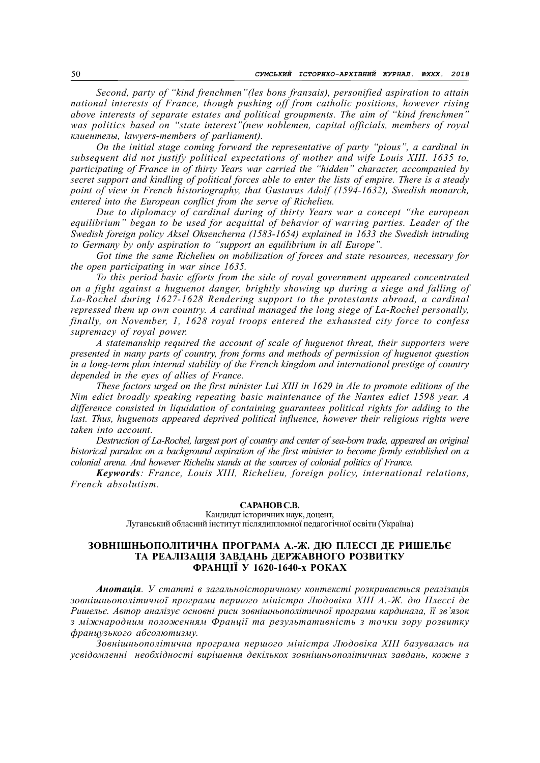Second, party of "kind frenchmen"(les bons franзais), personified aspiration to attain national interests of France, though pushing off from catholic positions, however rising above interests of separate estates and political groupments. The aim of "kind frenchmen" was politics based on "state interest"(new noblemen, capital officials, members of royal клиентелы, lawyers-members of parliament).

On the initial stage coming forward the representative of party "pious", a cardinal in subsequent did not justify political expectations of mother and wife Louis XIII. 1635 to, participating of France in of thirty Years war carried the "hidden" character, accompanied by secret support and kindling of political forces able to enter the lists of empire. There is a steady point of view in French historiography, that Gustavus Adolf (1594-1632), Swedish monarch, entered into the European conflict from the serve of Richelieu.

Due to diplomacy of cardinal during of thirty Years war a concept "the european equilibrium" began to be used for acquittal of behavior of warring parties. Leader of the Swedish foreign policy Аksel Оksencherna (1583-1654) explained in 1633 the Swedish intruding to Germany by only aspiration to "support an equilibrium in all Europe".

Got time the same Richelieu on mobilization of forces and state resources, necessary for the open participating in war since 1635.

To this period basic efforts from the side of royal government appeared concentrated on a fight against a huguenot danger, brightly showing up during a siege and falling of La-Rochel during 1627-1628 Rendering support to the protestants abroad, a cardinal repressed them up own country. A cardinal managed the long siege of La-Rochel personally, finally, on November, 1, 1628 royal troops entered the exhausted city force to confess supremacy of royal power.

A statemanship required the account of scale of huguenot threat, their supporters were presented in many parts of country, from forms and methods of permission of huguenot question in a long-term plan internal stability of the French kingdom and international prestige of country depended in the eyes of allies of France.

These factors urged on the first minister Lui XIII in 1629 in Ale to promote editions of the Nim edict broadly speaking repeating basic maintenance of the Nantes edict 1598 year. A difference consisted in liquidation of containing guarantees political rights for adding to the last. Thus, huguenots appeared deprived political influence, however their religious rights were taken into account.

Destruction of La-Rochel, largest port of country and center of sea-born trade, appeared an original historical paradox on a background aspiration of the first minister to become firmly established on a colonial arena. And however Richeliu stands at the sources of colonial politics of France.

Keywords: France, Louis XIII, Richelieu, foreign policy, international relations, French absolutism.

### САРАНОВ С.В.

Кандидат історичних наук, доцент, Луганський обласний інститут післядипломної педагогічної освіти (Україна)

# ЗОВНІШНЬОПОЛІТИЧНА ПРОГРАМА А.-Ж. ДЮ ПЛЕССІ ДЕ РИШЕЛЬЄ ТА РЕАЛІЗАЦІЯ ЗАВДАНЬ ДЕРЖАВНОГО РОЗВИТКУ ФРАНЦІЇ У 1620-1640-х РОКАХ

Анотація. У статті в загальноісторичному контексті розкривається реалізація зовнішньополітичної програми першого міністра Людовіка XIII А.-Ж. дю Плессі де Ришельє. Автор аналізує основні риси зовнішньополітичної програми кардинала, її зв'язок з міжнародним положенням Франції та результативність з точки зору розвитку французького абсолютизму.

Зовнішньополітична програма першого міністра Людовіка XIII базувалась на усвідомленні необхідності вирішення декількох зовнішньополітичних завдань, кожне з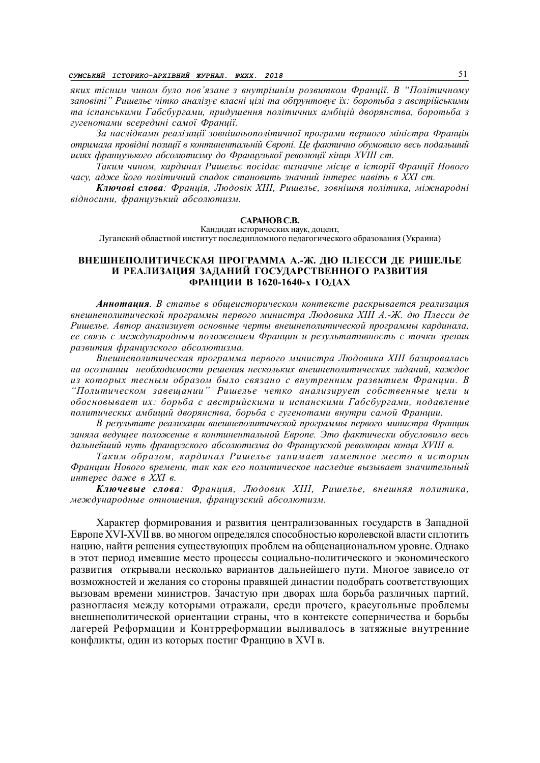яких тісним чином було пов'язане з внутрішнім розвитком Франції. В "Політичному заповіті" Ришельє чітко аналізує власні цілі та обґрунтовує їх: боротьба з австрійськими та іспанськими Габсбургами, придушення політичних амбіцій дворянства, боротьба з гугенотами всередині самої Франції.

За наслідками реалізації зовнішньополітичної програми першого міністра Франція отримала провідні позиції в континентальній Європі. Це фактично обумовило весь подальший шлях французького абсолютизму до Французької революції кінця XVIII ст.

Таким чином, кардинал Ришельє посідає визначне місце в історії Франції Нового часу, адже його політичний спадок становить значний інтерес навіть в XXI ст.

Ключові слова: Франція, Людовік XIII, Ришельє, зовнішня політика, міжнародні відносини, французький абсолютизм.

### САРАНОВ С.В.

Кандидат исторических наук, доцент, Луганский областной институт последипломного педагогического образования (Украина)

# ВНЕШНЕПОЛИТИЧЕСКАЯ ПРОГРАММА А.-Ж. ДЮ ПЛЕССИ ДЕ РИШЕЛЬЕ И РЕАЛИЗАЦИЯ ЗАДАНИЙ ГОСУДАРСТВЕННОГО РАЗВИТИЯ ФРАНЦИИ В 1620-1640-х ГОДАХ

Аннотация. В статье в общеисторическом контексте раскрывается реализация внешнеполитической программы первого министра Людовика XIII А.-Ж. дю Плесси де Ришелье. Автор анализиует основные черты внешнеполитической программы кардинала, ее связь с международным положением Франции и результативность с точки зрения развития французского абсолютизма.

Внешнеполитическая программа первого министра Людовика XIII базировалась на осознании необходимости решения нескольких внешнеполитических заданий, каждое из которых тесным образом было связано с внутренним развитием Франции. В "Политическом завещании" Ришелье четко анализирует собственные цели и обосновывает их: борьба с австрийскими и испанскими Габсбургами, подавление политических амбиций дворянства, борьба с гугенотами внутри самой Франции.

В результате реализации внешнеполитической программы первого министра Франция заняла ведущее положение в континентальной Европе. Это фактически обусловило весь дальнейший путь французского абсолютизма до Французской революции конца XVIII в.

Таким образом, кардинал Ришелье занимает заметное место в истории Франции Нового времени, так как его политическое наследие вызывает значительный интерес даже в XXI в.

Ключевые слова: Франция, Людовик XIII, Ришелье, внешняя политика, международные отношения, французский абсолютизм.

Характер формирования и развития централизованных государств в Западной Европе XVI-XVII вв. во многом определялся способностью королевской власти сплотить нацию, найти решения существующих проблем на общенациональном уровне. Однако в этот период имевшие место процессы социально-политического и экономического развития открывали несколько вариантов дальнейшего пути. Многое зависело от возможностей и желания со стороны правящей династии подобрать соответствующих вызовам времени министров. Зачастую при дворах шла борьба различных партий, разногласия между которыми отражали, среди прочего, краеугольные проблемы внешнеполитической ориентации страны, что в контексте соперничества и борьбы лагерей Реформации и Контрреформации выливалось в затяжные внутренние конфликты, один из которых постиг Францию в XVI в.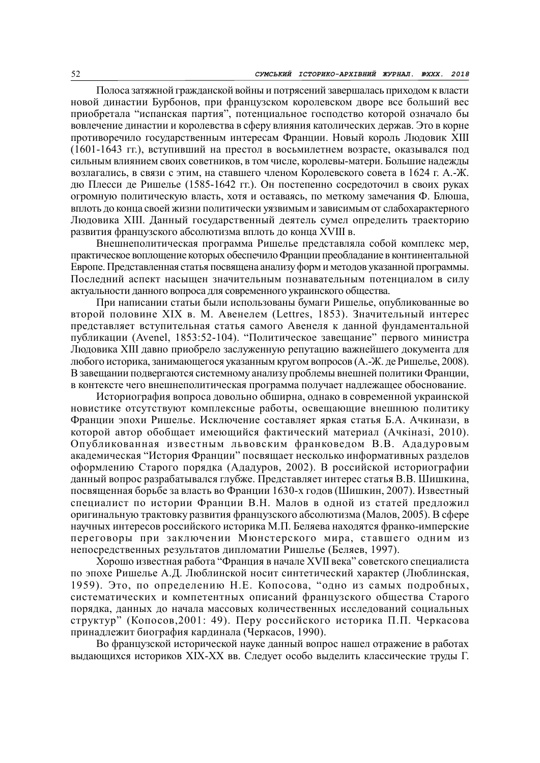Полоса затяжной гражданской войны и потрясений завершалась приходом к власти новой династии Бурбонов, при французском королевском дворе все больший вес приобретала "испанская партия", потенциальное господство которой означало бы вовлечение династии и королевства в сферу влияния католических держав. Это в корне противоречило государственным интересам Франции. Новый король Людовик XIII (1601-1643 гг.), вступивший на престол в восьмилетнем возрасте, оказывался под сильным влиянием своих советников, в том числе, королевы-матери. Большие надежды возлагались, в связи с этим, на ставшего членом Королевского совета в 1624 г. А.-Ж. дю Плесси де Ришелье (1585-1642 гг.). Он постепенно сосредоточил в своих руках огромную политическую власть, хотя и оставаясь, по меткому замечания Ф. Блюша, вплоть до конца своей жизни политически уязвимым и зависимым от слабохарактерного Людовика XIII. Данный государственный деятель сумел определить траекторию развития французского абсолютизма вплоть до конца XVIII в.

Внешнеполитическая программа Ришелье представляла собой комплекс мер, практическое воплощение которых обеспечило Франции преобладание в континентальной Европе. Представленная статья посвящена анализу форм и методов указанной программы. Последний аспект насыщен значительным познавательным потенциалом в силу актуальности данного вопроса для современного украинского общества.

При написании статьи были использованы бумаги Ришелье, опубликованные во второй половине XIX в. М. Авенелем (Lettres, 1853). Значительный интерес представляет вступительная статья самого Авенеля к данной фундаментальной публикации (Avenel, 1853:52-104). "Политическое завещание" первого министра Людовика XIII давно приобрело заслуженную репутацию важнейшего документа для любого историка, занимающегося указанным кругом вопросов (А.-Ж. де Ришелье, 2008). В завещании подвергаются системному анализу проблемы внешней политики Франции, в контексте чего внешнеполитическая программа получает надлежащее обоснование.

Историография вопроса довольно обширна, однако в современной украинской новистике отсутствуют комплексные работы, освещающие внешнюю политику Франции эпохи Ришелье. Исключение составляет яркая статья Б.А. Ачкинази, в которой автор обобщает имеющийся фактический материал (Ачкіназі, 2010). Опубликованная известным львовским франковедом В.В. Ададуровым академическая "История Франции" посвящает несколько информативных разделов оформлению Старого порядка (Ададуров, 2002). В российской историографии данный вопрос разрабатывался глубже. Представляет интерес статья В.В. Шишкина, посвященная борьбе за власть во Франции 1630-х годов (Шишкин, 2007). Известный специалист по истории Франции В.Н. Малов в одной из статей предложил оригинальную трактовку развития французского абсолютизма (Малов, 2005). В сфере научных интересов российского историка М.П. Беляева находятся франко-имперские переговоры при заключении Мюнстерского мира, ставшего одним из непосредственных результатов дипломатии Ришелье (Беляев, 1997).

Хорошо известная работа "Франция в начале XVII века" советского специалиста по эпохе Ришелье А.Д. Люблинской носит синтетический характер (Люблинская, 1959). Это, по определению Н.Е. Копосова, "одно из самых подробных, систематических и компетентных описаний французского общества Старого порядка, данных до начала массовых количественных исследований социальных структур" (Копосов,2001: 49). Перу российского историка П.П. Черкасова принадлежит биография кардинала (Черкасов, 1990).

Во французской исторической науке данный вопрос нашел отражение в работах выдающихся историков XIX-XX вв. Следует особо выделить классические труды Г.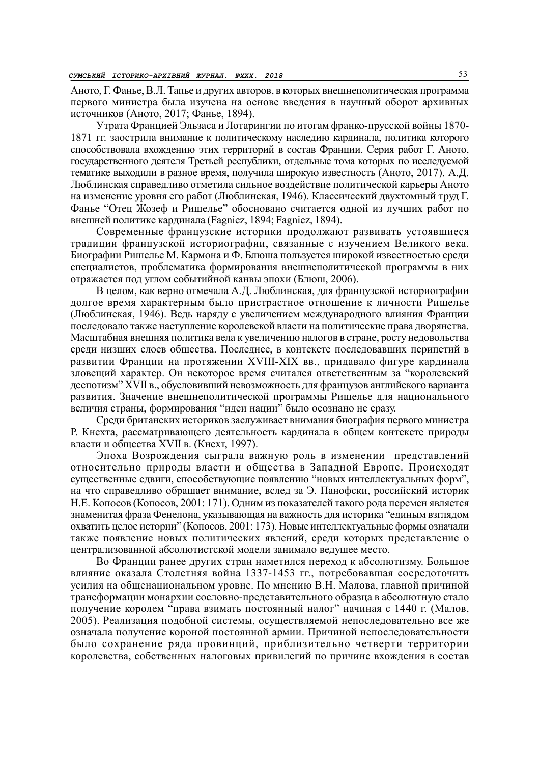Аното, Г. Фанье, В.Л. Тапье и других авторов, в которых внешнеполитическая программа первого министра была изучена на основе введения в научный оборот архивных источников (Аното, 2017; Фанье, 1894).

Утрата Францией Эльзаса и Лотарингии по итогам франко-прусской войны 1870- 1871 гг. заострила внимание к политическому наследию кардинала, политика которого способствовала вхождению этих территорий в состав Франции. Серия работ Г. Аното, государственного деятеля Третьей республики, отдельные тома которых по исследуемой тематике выходили в разное время, получила широкую известность (Аното, 2017). А.Д. Люблинская справедливо отметила сильное воздействие политической карьеры Аното на изменение уровня его работ (Люблинская, 1946). Классический двухтомный труд Г. Фанье "Отец Жозеф и Ришелье" обосновано считается одной из лучших работ по внешней политике кардинала (Fagniez, 1894; Fagniez, 1894).

Современные французские историки продолжают развивать устоявшиеся традиции французской историографии, связанные с изучением Великого века. Биографии Ришелье М. Кармона и Ф. Блюша пользуется широкой известностью среди специалистов, проблематика формирования внешнеполитической программы в них отражается под углом событийной канвы эпохи (Блюш, 2006).

В целом, как верно отмечала А.Д. Люблинская, для французской историографии долгое время характерным было пристрастное отношение к личности Ришелье (Люблинская, 1946). Ведь наряду с увеличением международного влияния Франции последовало также наступление королевской власти на политические права дворянства. Масштабная внешняя политика вела к увеличению налогов в стране, росту недовольства среди низших слоев общества. Последнее, в контексте последовавших перипетий в развитии Франции на протяжении XVIII-XIX вв., придавало фигуре кардинала зловещий характер. Он некоторое время считался ответственным за "королевский деспотизм" XVII в., обусловивший невозможность для французов английского варианта развития. Значение внешнеполитической программы Ришелье для национального величия страны, формирования "идеи нации" было осознано не сразу.

Среди британских историков заслуживает внимания биография первого министра Р. Кнехта, рассматривающего деятельность кардинала в общем контексте природы власти и общества XVII в. (Кнехт, 1997).

Эпоха Возрождения сыграла важную роль в изменении представлений относительно природы власти и общества в Западной Европе. Происходят существенные сдвиги, способствующие появлению "новых интеллектуальных форм", на что справедливо обращает внимание, вслед за Э. Панофски, российский историк Н.Е. Копосов (Копосов, 2001: 171). Одним из показателей такого рода перемен является знаменитая фраза Фенелона, указывающая на важность для историка "единым взглядом охватить целое истории" (Копосов, 2001: 173). Новые интеллектуальные формы означали также появление новых политических явлений, среди которых представление о централизованной абсолютистской модели занимало ведущее место.

Во Франции ранее других стран наметился переход к абсолютизму. Большое влияние оказала Столетняя война 1337-1453 гг., потребовавшая сосредоточить усилия на общенациональном уровне. По мнению В.Н. Малова, главной причиной трансформации монархии сословно-представительного образца в абсолютную стало получение королем "права взимать постоянный налог" начиная с 1440 г. (Малов, 2005). Реализация подобной системы, осуществляемой непоследовательно все же означала получение короной постоянной армии. Причиной непоследовательности было сохранение ряда провинций, приблизительно четверти территории королевства, собственных налоговых привилегий по причине вхождения в состав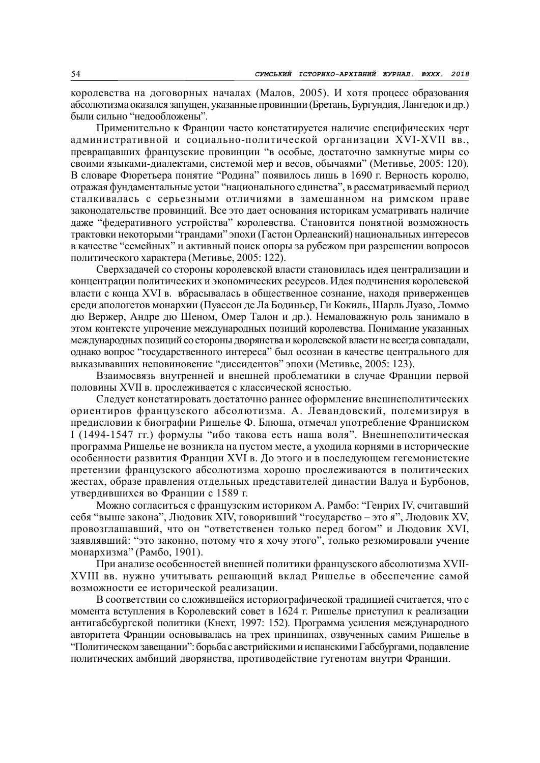королевства на договорных началах (Малов, 2005). И хотя процесс образования абсолютизма оказался запущен, указанные провинции (Бретань, Бургундия, Лангедок и др.) были сильно "недообложены".

Применительно к Франции часто констатируется наличие специфических черт административной и социально-политической организации XVI-XVII вв., превращавших французские провинции "в особые, достаточно замкнутые миры со своими языками-диалектами, системой мер и весов, обычаями" (Метивье, 2005: 120). В словаре Фюретьера понятие "Родина" появилось лишь в 1690 г. Верность королю, отражая фундаментальные устои "национального единства", в рассматриваемый период сталкивалась с серьезными отличиями в замешанном на римском праве законодательстве провинций. Все это дает основания историкам усматривать наличие даже "федеративного устройства" королевства. Становится понятной возможность трактовки некоторыми "грандами" эпохи (Гастон Орлеанский) национальных интересов в качестве "семейных" и активный поиск опоры за рубежом при разрешении вопросов политического характера (Метивье, 2005: 122).

Сверхзадачей со стороны королевской власти становилась идея централизации и концентрации политических и экономических ресурсов. Идея подчинения королевской власти с конца XVI в. вбрасывалась в общественное сознание, находя приверженцев среди апологетов монархии (Пуассон де Ла Бодиньер, Ги Кокиль, Шарль Луазо, Ломмо дю Вержер, Андре дю Шеном, Омер Талон и др.). Немаловажную роль занимало в этом контексте упрочение международных позиций королевства. Понимание указанных международных позиций со стороны дворянства и королевской власти не всегда совпадали, однако вопрос "государственного интереса" был осознан в качестве центрального для выказывавших неповиновение "диссидентов" эпохи (Метивье, 2005: 123).

Взаимосвязь внутренней и внешней проблематики в случае Франции первой половины XVII в. прослеживается с классической ясностью.

Следует констатировать достаточно раннее оформление внешнеполитических ориентиров французского абсолютизма. А. Левандовский, полемизируя в предисловии к биографии Ришелье Ф. Блюша, отмечал употребление Франциском I (1494-1547 гг.) формулы "ибо такова есть наша воля". Внешнеполитическая программа Ришелье не возникла на пустом месте, а уходила корнями в исторические особенности развития Франции XVI в. До этого и в последующем гегемонистские претензии французского абсолютизма хорошо прослеживаются в политических жестах, образе правления отдельных представителей династии Валуа и Бурбонов, утвердившихся во Франции с 1589 г.

Можно согласиться с французским историком А. Рамбо: "Генрих IV, считавший себя "выше закона", Людовик XIV, говоривший "государство – это я", Людовик XV, провозглашавший, что он "ответственен только перед богом" и Людовик XVI, заявлявший: "это законно, потому что я хочу этого", только резюмировали учение монархизма" (Рамбо, 1901).

При анализе особенностей внешней политики французского абсолютизма XVII-XVIII вв. нужно учитывать решающий вклад Ришелье в обеспечение самой возможности ее исторической реализации.

В соответствии со сложившейся историографической традицией считается, что с момента вступления в Королевский совет в 1624 г. Ришелье приступил к реализации антигабсбургской политики (Кнехт, 1997: 152). Программа усиления международного авторитета Франции основывалась на трех принципах, озвученных самим Ришелье в "Политическом завещании": борьба с австрийскими и испанскими Габсбургами, подавление политических амбиций дворянства, противодействие гугенотам внутри Франции.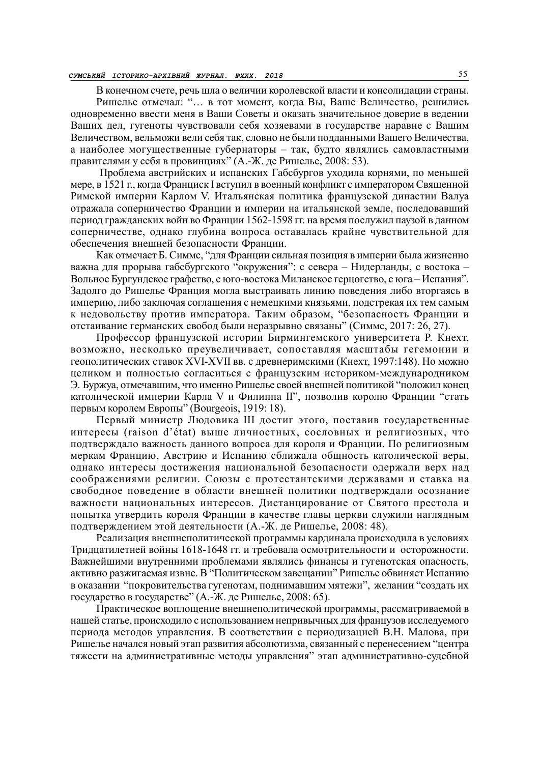## СУМСЬКИЙ ІСТОРИКО-АРХІВНИЙ ЖУРНАЛ. №XХХ. 2018 55

В конечном счете, речь шла о величии королевской власти и консолидации страны. Ришелье отмечал: "… в тот момент, когда Вы, Ваше Величество, решились одновременно ввести меня в Ваши Советы и оказать значительное доверие в ведении Ваших дел, гугеноты чувствовали себя хозяевами в государстве наравне с Вашим Величеством, вельможи вели себя так, словно не были подданными Вашего Величества, а наиболее могущественные губернаторы – так, будто являлись самовластными правителями у себя в провинциях" (А.-Ж. де Ришелье, 2008: 53).

 Проблема австрийских и испанских Габсбургов уходила корнями, по меньшей мере, в 1521 г., когда Франциск I вступил в военный конфликт с императором Священной Римской империи Карлом V. Итальянская политика французской династии Валуа отражала соперничество Франции и империи на итальянской земле, последовавший период гражданских войн во Франции 1562-1598 гг. на время послужил паузой в данном соперничестве, однако глубина вопроса оставалась крайне чувствительной для обеспечения внешней безопасности Франции.

Как отмечает Б. Симмс, "для Франции сильная позиция в империи была жизненно важна для прорыва габсбургского "окружения": с севера – Нидерланды, с востока – Вольное Бургундское графство, с юго-востока Миланское герцогство, с юга – Испания". Задолго до Ришелье Франция могла выстраивать линию поведения либо вторгаясь в империю, либо заключая соглашения с немецкими князьями, подстрекая их тем самым к недовольству против императора. Таким образом, "безопасность Франции и отстаивание германских свобод были неразрывно связаны" (Симмс, 2017: 26, 27).

Профессор французской истории Бирмингемского университета Р. Кнехт, возможно, несколько преувеличивает, сопоставляя масштабы гегемонии и геополитических ставок XVI-XVII вв. с древнеримскими (Кнехт, 1997:148). Но можно целиком и полностью согласиться с французским историком-международником Э. Буржуа, отмечавшим, что именно Ришелье своей внешней политикой "положил конец католической империи Карла V и Филиппа II", позволив королю Франции "стать первым королем Европы" (Bourgeois, 1919: 18).

Первый министр Людовика III достиг этого, поставив государственные интересы (raison d'état) выше личностных, сословных и религиозных, что подтверждало важность данного вопроса для короля и Франции. По религиозным меркам Францию, Австрию и Испанию сближала общность католической веры, однако интересы достижения национальной безопасности одержали верх над соображениями религии. Союзы с протестантскими державами и ставка на свободное поведение в области внешней политики подтверждали осознание важности национальных интересов. Дистанцирование от Святого престола и попытка утвердить короля Франции в качестве главы церкви служили наглядным подтверждением этой деятельности (А.-Ж. де Ришелье, 2008: 48).

Реализация внешнеполитической программы кардинала происходила в условиях Тридцатилетней войны 1618-1648 гг. и требовала осмотрительности и осторожности. Важнейшими внутренними проблемами являлись финансы и гугенотская опасность, активно разжигаемая извне. В "Политическом завещании" Ришелье обвиняет Испанию в оказании "покровительства гугенотам, поднимавшим мятежи", желании "создать их государство в государстве" (А.-Ж. де Ришелье, 2008: 65).

Практическое воплощение внешнеполитической программы, рассматриваемой в нашей статье, происходило с использованием непривычных для французов исследуемого периода методов управления. В соответствии с периодизацией В.Н. Малова, при Ришелье начался новый этап развития абсолютизма, связанный с перенесением "центра тяжести на административные методы управления" этап административно-судебной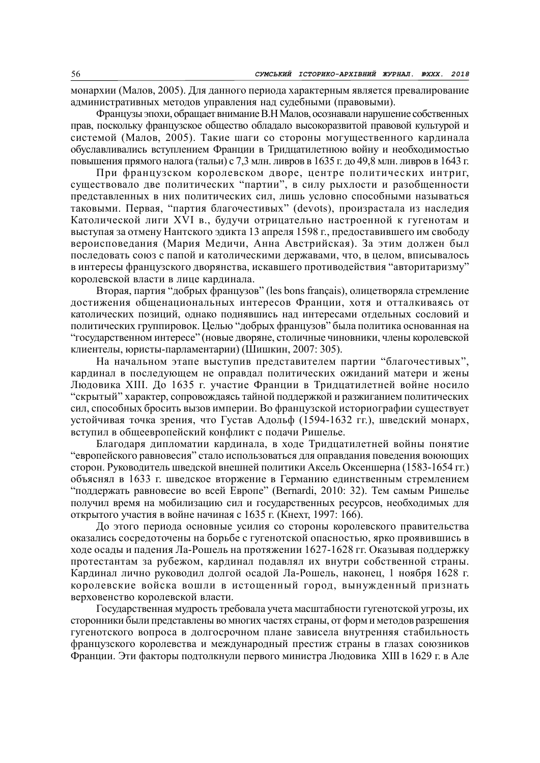монархии (Малов, 2005). Для данного периода характерным является превалирование административных методов управления над судебными (правовыми).

Французы эпохи, обращает внимание В.Н Малов, осознавали нарушение собственных прав, поскольку французское общество обладало высокоразвитой правовой культурой и системой (Малов, 2005). Такие шаги со стороны могущественного кардинала обуславливались вступлением Франции в Тридцатилетнюю войну и необходимостью повышения прямого налога (тальи) с 7,3 млн. ливров в 1635 г. до 49,8 млн. ливров в 1643 г.

При французском королевском дворе, центре политических интриг, существовало две политических "партии", в силу рыхлости и разобщенности представленных в них политических сил, лишь условно способными называться таковыми. Первая, "партия благочестивых" (devots), произрастала из наследия Католической лиги XVI в., будучи отрицательно настроенной к гугенотам и выступая за отмену Нантского эдикта 13 апреля 1598 г., предоставившего им свободу вероисповедания (Мария Медичи, Анна Австрийская). За этим должен был последовать союз с папой и католическими державами, что, в целом, вписывалось в интересы французского дворянства, искавшего противодействия "авторитаризму" королевской власти в лице кардинала.

Вторая, партия "добрых французов" (les bons français), олицетворяла стремление достижения общенациональных интересов Франции, хотя и отталкиваясь от католических позиций, однако поднявшись над интересами отдельных сословий и политических группировок. Целью "добрых французов" была политика основанная на "государственном интересе" (новые дворяне, столичные чиновники, члены королевской клиентелы, юристы-парламентарии) (Шишкин, 2007: 305).

На начальном этапе выступив представителем партии "благочестивых", кардинал в последующем не оправдал политических ожиданий матери и жены Людовика XIII. До 1635 г. участие Франции в Тридцатилетней войне носило "скрытый" характер, сопровождаясь тайной поддержкой и разжиганием политических сил, способных бросить вызов империи. Во французской историографии существует устойчивая точка зрения, что Густав Адольф (1594-1632 гг.), шведский монарх, вступил в общеевропейский конфликт с подачи Ришелье.

Благодаря дипломатии кардинала, в ходе Тридцатилетней войны понятие "европейского равновесия" стало использоваться для оправдания поведения воюющих сторон. Руководитель шведской внешней политики Аксель Оксеншерна (1583-1654 гг.) объяснял в 1633 г. шведское вторжение в Германию единственным стремлением "поддержать равновесие во всей Европе" (Bernardi, 2010: 32). Тем самым Ришелье получил время на мобилизацию сил и государственных ресурсов, необходимых для открытого участия в войне начиная с 1635 г. (Кнехт, 1997: 166).

До этого периода основные усилия со стороны королевского правительства оказались сосредоточены на борьбе с гугенотской опасностью, ярко проявившись в ходе осады и падения Ла-Рошель на протяжении 1627-1628 гг. Оказывая поддержку протестантам за рубежом, кардинал подавлял их внутри собственной страны. Кардинал лично руководил долгой осадой Ла-Рошель, наконец, 1 ноября 1628 г. королевские войска вошли в истощенный город, вынужденный признать верховенство королевской власти.

Государственная мудрость требовала учета масштабности гугенотской угрозы, их сторонники были представлены во многих частях страны, от форм и методов разрешения гугенотского вопроса в долгосрочном плане зависела внутренняя стабильность французского королевства и международный престиж страны в глазах союзников Франции. Эти факторы подтолкнули первого министра Людовика XIII в 1629 г. в Але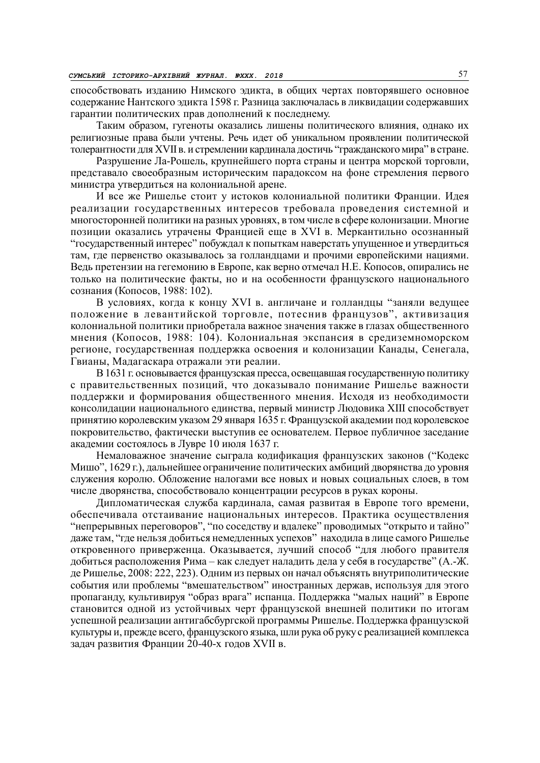способствовать изданию Нимского эдикта, в общих чертах повторявшего основное содержание Нантского эдикта 1598 г. Разница заключалась в ликвидации содержавших гарантии политических прав дополнений к последнему.

Таким образом, гугеноты оказались лишены политического влияния, однако их религиозные права были учтены. Речь идет об уникальном проявлении политической толерантности для XVII в. и стремлении кардинала достичь "гражданского мира" в стране.

Разрушение Ла-Рошель, крупнейшего порта страны и центра морской торговли, представало своеобразным историческим парадоксом на фоне стремления первого министра утвердиться на колониальной арене.

И все же Ришелье стоит у истоков колониальной политики Франции. Идея реализации государственных интересов требовала проведения системной и многосторонней политики на разных уровнях, в том числе в сфере колонизации. Многие позиции оказались утрачены Францией еще в XVI в. Меркантильно осознанный "государственный интерес" побуждал к попыткам наверстать упущенное и утвердиться там, где первенство оказывалось за голландцами и прочими европейскими нациями. Ведь претензии на гегемонию в Европе, как верно отмечал Н.Е. Копосов, опирались не только на политические факты, но и на особенности французского национального сознания (Копосов, 1988: 102).

В условиях, когда к концу XVI в. англичане и голландцы "заняли ведущее положение в левантийской торговле, потеснив французов", активизация колониальной политики приобретала важное значения также в глазах общественного мнения (Копосов, 1988: 104). Колониальная экспансия в средиземноморском регионе, государственная поддержка освоения и колонизации Канады, Сенегала, Гвианы, Мадагаскара отражали эти реалии.

В 1631 г. основывается французская пресса, освещавшая государственную политику с правительственных позиций, что доказывало понимание Ришелье важности поддержки и формирования общественного мнения. Исходя из необходимости консолидации национального единства, первый министр Людовика XIII способствует принятию королевским указом 29 января 1635 г. Французской академии под королевское покровительство, фактически выступив ее основателем. Первое публичное заседание академии состоялось в Лувре 10 июля 1637 г.

Немаловажное значение сыграла кодификация французских законов ("Кодекс Мишо", 1629 г.), дальнейшее ограничение политических амбиций дворянства до уровня служения королю. Обложение налогами все новых и новых социальных слоев, в том числе дворянства, способствовало концентрации ресурсов в руках короны.

Дипломатическая служба кардинала, самая развитая в Европе того времени, обеспечивала отстаивание национальных интересов. Практика осуществления "непрерывных переговоров", "по соседству и вдалеке" проводимых "открыто и тайно" даже там, "где нельзя добиться немедленных успехов" находила в лице самого Ришелье откровенного приверженца. Оказывается, лучший способ "для любого правителя добиться расположения Рима – как следует наладить дела у себя в государстве" (А.-Ж. де Ришелье, 2008: 222, 223). Одним из первых он начал объяснять внутриполитические события или проблемы "вмешательством" иностранных держав, используя для этого пропаганду, культивируя "образ врага" испанца. Поддержка "малых наций" в Европе становится одной из устойчивых черт французской внешней политики по итогам успешной реализации антигабсбургской программы Ришелье. Поддержка французской культуры и, прежде всего, французского языка, шли рука об руку с реализацией комплекса задач развития Франции 20-40-х годов XVII в.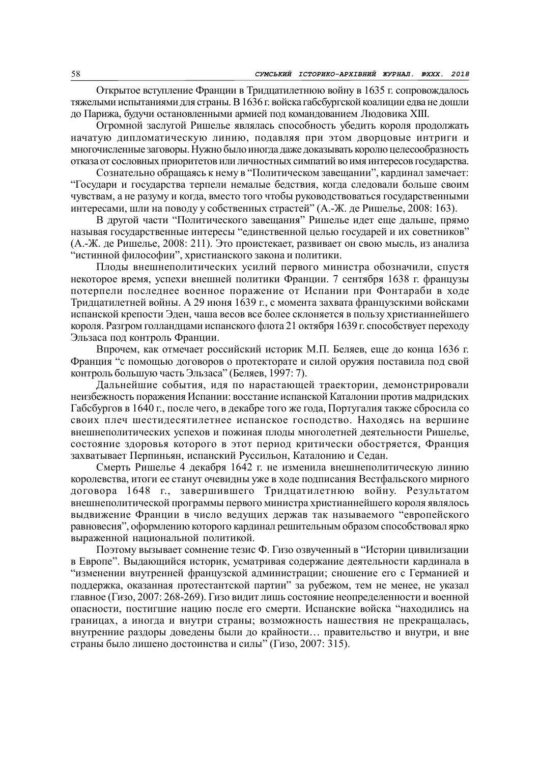Открытое вступление Франции в Тридцатилетнюю войну в 1635 г. сопровождалось тяжелыми испытаниями для страны. В 1636 г. войска габсбургской коалиции едва не дошли до Парижа, будучи остановленными армией под командованием Людовика XIII.

Огромной заслугой Ришелье являлась способность убедить короля продолжать начатую дипломатическую линию, подавляя при этом дворцовые интриги и многочисленные заговоры. Нужно было иногда даже доказывать королю целесообразность отказа от сословных приоритетов или личностных симпатий во имя интересов государства.

Сознательно обращаясь к нему в "Политическом завещании", кардинал замечает: "Государи и государства терпели немалые бедствия, когда следовали больше своим чувствам, а не разуму и когда, вместо того чтобы руководствоваться государственными интересами, шли на поводу у собственных страстей" (А.-Ж. де Ришелье, 2008: 163).

В другой части "Политического завещания" Ришелье идет еще дальше, прямо называя государственные интересы "единственной целью государей и их советников" (А.-Ж. де Ришелье, 2008: 211). Это проистекает, развивает он свою мысль, из анализа "истинной философии", христианского закона и политики.

Плоды внешнеполитических усилий первого министра обозначили, спустя некоторое время, успехи внешней политики Франции. 7 сентября 1638 г. французы потерпели последнее военное поражение от Испании при Фонтараби в ходе Тридцатилетней войны. А 29 июня 1639 г., с момента захвата французскими войсками испанской крепости Эден, чаша весов все более склоняется в пользу христианнейшего короля. Разгром голландцами испанского флота 21 октября 1639 г. способствует переходу Эльзаса под контроль Франции.

Впрочем, как отмечает российский историк М.П. Беляев, еще до конца 1636 г. Франция "с помощью договоров о протекторате и силой оружия поставила под свой контроль большую часть Эльзаса" (Беляев, 1997: 7).

Дальнейшие события, идя по нарастающей траектории, демонстрировали неизбежность поражения Испании: восстание испанской Каталонии против мадридских Габсбургов в 1640 г., после чего, в декабре того же года, Португалия также сбросила со своих плеч шестидесятилетнее испанское господство. Находясь на вершине внешнеполитических успехов и пожиная плоды многолетней деятельности Ришелье, состояние здоровья которого в этот период критически обостряется, Франция захватывает Перпиньян, испанский Руссильон, Каталонию и Седан.

Смерть Ришелье 4 декабря 1642 г. не изменила внешнеполитическую линию королевства, итоги ее станут очевидны уже в ходе подписания Вестфальского мирного договора 1648 г., завершившего Тридцатилетнюю войну. Результатом внешнеполитической программы первого министра христианнейшего короля являлось выдвижение Франции в число ведущих держав так называемого "европейского равновесия", оформлению которого кардинал решительным образом способствовал ярко выраженной национальной политикой.

Поэтому вызывает сомнение тезис Ф. Гизо озвученный в "Истории цивилизации в Европе". Выдающийся историк, усматривая содержание деятельности кардинала в "изменении внутренней французской администрации; сношение его с Германией и поддержка, оказанная протестантской партии" за рубежом, тем не менее, не указал главное (Гизо, 2007: 268-269). Гизо видит лишь состояние неопределенности и военной опасности, постигшие нацию после его смерти. Испанские войска "находились на границах, а иногда и внутри страны; возможность нашествия не прекращалась, внутренние раздоры доведены были до крайности… правительство и внутри, и вне страны было лишено достоинства и силы" (Гизо, 2007: 315).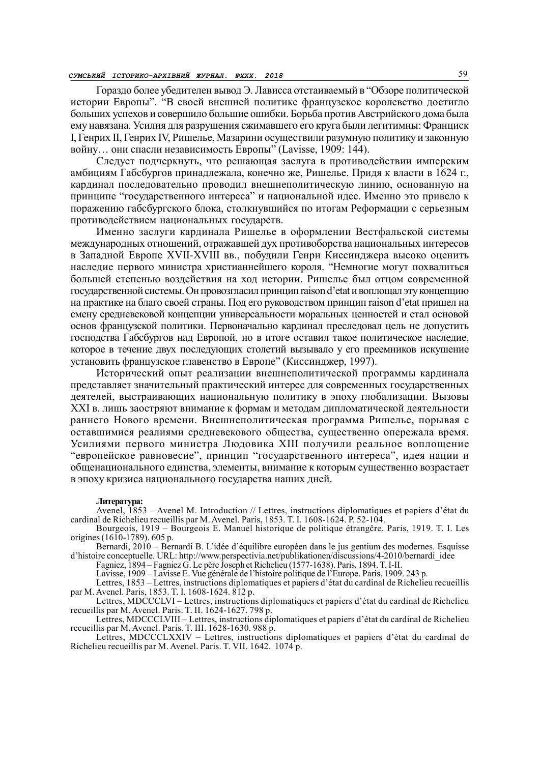Гораздо более убедителен вывод Э. Лависса отстаиваемый в "Обзоре политической истории Европы". "В своей внешней политике французское королевство достигло больших успехов и совершило большие ошибки. Борьба против Австрийского дома была ему навязана. Усилия для разрушения сжимавшего его круга были легитимны: Франциск I, Генрих II, Генрих IV, Ришелье, Мазарини осуществили разумную политику и законную войну… они спасли независимость Европы" (Lavisse, 1909: 144).

Следует подчеркнуть, что решающая заслуга в противодействии имперским амбициям Габсбургов принадлежала, конечно же, Ришелье. Придя к власти в 1624 г., кардинал последовательно проводил внешнеполитическую линию, основанную на принципе "государственного интереса" и национальной идее. Именно это привело к поражению габсбургского блока, столкнувшийся по итогам Реформации с серьезным противодействием национальных государств.

Именно заслуги кардинала Ришелье в оформлении Вестфальской системы международных отношений, отражавшей дух противоборства национальных интересов в Западной Европе XVII-XVIII вв., побудили Генри Киссинджера высоко оценить наследие первого министра христианнейшего короля. "Немногие могут похвалиться большей степенью воздействия на ход истории. Ришелье был отцом современной государственной системы. Он провозгласил принцип raison d'etat и воплощал эту концепцию на практике на благо своей страны. Под его руководством принцип raison d'etat пришел на смену средневековой концепции универсальности моральных ценностей и стал основой основ французской политики. Первоначально кардинал преследовал цель не допустить господства Габсбургов над Европой, но в итоге оставил такое политическое наследие, которое в течение двух последующих столетий вызывало у его преемников искушение установить французское главенство в Европе" (Киссинджер, 1997).

Исторический опыт реализации внешнеполитической программы кардинала представляет значительный практический интерес для современных государственных деятелей, выстраивающих национальную политику в эпоху глобализации. Вызовы XXI в. лишь заостряют внимание к формам и методам дипломатической деятельности раннего Нового времени. Внешнеполитическая программа Ришелье, порывая с оставшимися реалиями средневекового общества, существенно опережала время. Усилиями первого министра Людовика XIII получили реальное воплощение "европейское равновесие", принцип "государственного интереса", идея нации и общенационального единства, элементы, внимание к которым существенно возрастает в эпоху кризиса национального государства наших дней.

## Литература:

Avenel, 1853 – Avenel M. Introduction // Lettres, instructions diplomatiques et papiers d'état du cardinal de Richelieu recueillis par M. Avenel. Paris, 1853. T. I. 1608-1624. Р. 52-104.

Bourgeois, 1919 – Bourgeois E. Manuel historique de politique étrangčre. Paris, 1919. T. I. Les origines (1610-1789). 605 p.

Bernardi, 2010 – Bernardi B. L'idée d'équilibre européen dans le jus gentium des modernes. Esquisse d'histoire conceptuelle. URL: http://www.perspectivia.net/publikationen/discussions/4-2010/bernardi\_idee

Fagniez, 1894 – Fagniez G. Le pčre Joseph et Richelieu (1577-1638). Paris, 1894. T. I-II.

Lavisse, 1909 – Lavisse E. Vue générale de l'histoire politique de l'Europe. Paris, 1909. 243 p.

Lettres, 1853 – Lettres, instructions diplomatiques et papiers d'état du cardinal de Richelieu recueillis par M. Avenel. Paris, 1853. T. I. 1608-1624. 812 p.

Lettres, MDCCCLVI – Lettres, instructions diplomatiques et papiers d'état du cardinal de Richelieu recueillis par M. Avenel. Paris. T. II. 1624-1627. 798 p.

Lettres, MDCCCLVIII – Lettres, instructions diplomatiques et papiers d'état du cardinal de Richelieu recueillis par M. Avenel. Paris. T. III. 1628-1630. 988 p.

Lettres, MDCCCLXXIV – Lettres, instructions diplomatiques et papiers d'état du cardinal de Richelieu recueillis par M. Avenel. Paris. T. VII. 1642. 1074 p.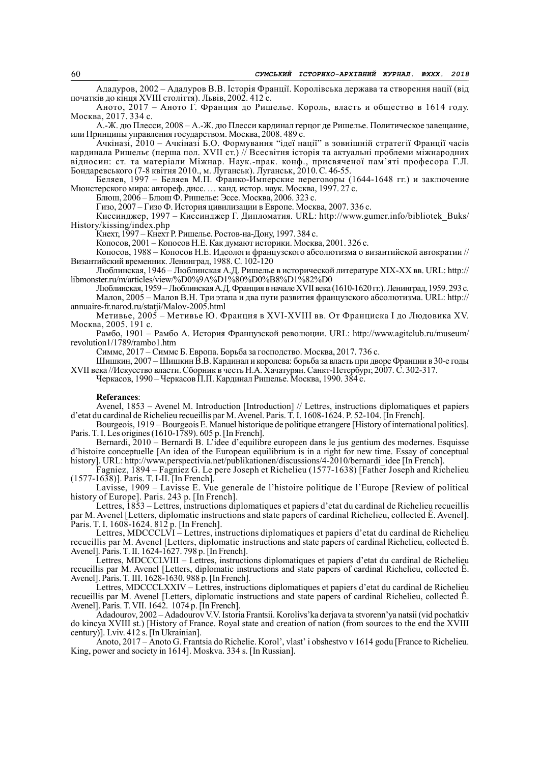Ададуров, 2002 – Ададуров В.В. Історія Франції. Королівська держава та створення нації (від початків до кінця XVIII століття). Львів, 2002. 412 с.

Аното, 2017 – Аното Г. Франция до Ришелье. Король, власть и общество в 1614 году. Москва, 2017. 334 с.

А.-Ж. дю Плесси, 2008 – А.-Ж. дю Плесси кардинал герцог де Ришелье. Политическое завещание, или Принципы управления государством. Москва, 2008. 489 с.

Ачкіназі, 2010 – Ачкіназі Б.О. Формування "ідеї нації" в зовнішній стратегії Франції часів кардинала Ришельє (перша пол. XVII ст.) // Всесвітня історія та актуальні проблеми міжнародних відносин: ст. та матеріали Міжнар. Наук.-прак. конф., присвяченої пам'яті професора Г.Л. Бондаревського (7-8 квітня 2010., м. Луганськ). Луганськ, 2010. C. 46-55.

Беляев, 1997 – Беляев М.П. Франко-Имперские переговоры (1644-1648 гг.) и заключение Мюнстерского мира: автореф. дисс. … канд. истор. наук. Москва, 1997. 27 с.

Блюш, 2006 – Блюш Ф. Ришелье: Эссе. Москва, 2006. 323 с.

Гизо, 2007 – Гизо Ф. История цивилизации в Европе. Москва, 2007. 336 с.

Киссинджер, 1997 – Киссинджер Г. Дипломатия. URL: http://www.gumer.info/bibliotek\_Buks/ History/kissing/index.php

Кнехт, 1997 – Кнехт Р. Ришелье. Ростов-на-Дону, 1997. 384 с.

Копосов, 2001 – Копосов Н.Е. Как думают историки. Москва, 2001. 326 с.

Копосов, 1988 – Копосов Н.Е. Идеологи французского абсолютизма о византийской автократии // Византийский временник. Ленинград, 1988. С. 102-120

Люблинская, 1946 – Люблинская А.Д. Ришелье в исторической литературе XIX-XX вв. URL: http:// libmonster.ru/m/articles/view/%D0%9A%D1%80%D0%B8%D1%82%D0

Люблинская, 1959 – Люблинская А.Д. Франция в начале XVII века (1610-1620 гг.). Ленинград, 1959. 293 с. Малов, 2005 – Малов В.Н. Три этапа и два пути развития французского абсолютизма. URL: http:// annuaire-fr.narod.ru/statji/Malov-2005.html

Метивье, 2005 – Метивье Ю. Франция в XVI-XVIII вв. От Франциска I до Людовика XV. Москва, 2005. 191 с.

Рамбо, 1901 – Рамбо А. История Французской революции. URL: http://www.agitclub.ru/museum/ revolution1/1789/rambo1.htm

Симмс, 2017 – Симмс Б. Европа. Борьба за господство. Москва, 2017. 736 с.

Шишкин, 2007 – Шишкин В.В. Кардинал и королева: борьба за власть при дворе Франции в 30-е годы XVII века //Искусство власти. Сборник в честь Н.А. Хачатурян. Санкт-Петербург, 2007. С. 302-317.

Черкасов, 1990 – Черкасов П.П. Кардинал Ришелье. Москва, 1990. 384 с.

#### Referances:

Avenel, 1853 – Avenel M. Introduction [Introduction] // Lettres, instructions diplomatiques et papiers d'etat du cardinal de Richelieu recueillis par M. Avenel. Paris. T. I. 1608-1624. P. 52-104. [In French].

Bourgeois, 1919 – Bourgeois E. Manuel historique de politique etrangere [History of international politics]. Paris. T. I. Les origines (1610-1789). 605 p. [In French].

Bernardi, 2010 – Bernardi B. L'idee d'equilibre europeen dans le jus gentium des modernes. Esquisse d'histoire conceptuelle [An idea of the European equilibrium is in a right for new time. Essay of conceptual history]. URL: http://www.perspectivia.net/publikationen/discussions/4-2010/bernardi\_idee [In French].

Fagniez, 1894 – Fagniez G. Le pere Joseph et Richelieu (1577-1638) [Father Joseph and Richelieu (1577-1638)]. Paris. T. I-II. [In French].

Lavisse, 1909 – Lavisse E. Vue generale de l'histoire politique de l'Europe [Review of political history of Europe]. Paris. 243 p. [In French].

Lettres, 1853 – Lettres, instructions diplomatiques et papiers d'etat du cardinal de Richelieu recueillis par M. Avenel [Letters, diplomatic instructions and state papers of cardinal Richelieu, collected Ě. Avenel]. Paris. T. I. 1608-1624. 812 p. [In French].

Lettres, MDCCCLVI – Lettres, instructions diplomatiques et papiers d'etat du cardinal de Richelieu recueillis par M. Avenel [Letters, diplomatic instructions and state papers of cardinal Richelieu, collected Ě. Avenel]. Paris. T. II. 1624-1627. 798 p. [In French].

Lettres, MDCCCLVIII – Lettres, instructions diplomatiques et papiers d'etat du cardinal de Richelieu recueillis par M. Avenel [Letters, diplomatic instructions and state papers of cardinal Richelieu, collected Ě. Avenel]. Paris. T. III. 1628-1630. 988 p. [In French].

Lettres, MDCCCLXXIV – Lettres, instructions diplomatiques et papiers d'etat du cardinal de Richelieu recueillis par M. Avenel [Letters, diplomatic instructions and state papers of cardinal Richelieu, collected Ě. Avenel]. Paris. T. VII. 1642. 1074 p. [In French].

Adadourov, 2002 – Adadourov V.V. Istoria Frantsii. Korolivs'ka derjava ta stvorenn'ya natsii (vid pochatkiv do kincya XVIII st.) [History of France. Royal state and creation of nation (from sources to the end the XVIII century)]. Lviv. 412 s. [In Ukrainian].

Аnoto, 2017 – Аnoto G. Frantsia do Richelie. Korol', vlast' i obshestvo v 1614 godu [France to Richelieu. King, power and society in 1614]. Moskva. 334 s. [In Russian].